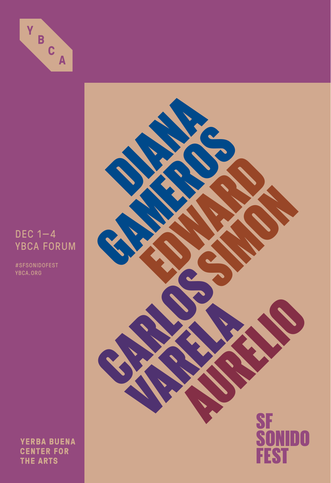

## DEC 1—4 YBCA FORUM

#SFSONIDOFEST YBCA.ORG

**YERBA BUENA CENTER FOR THE ARTS** 

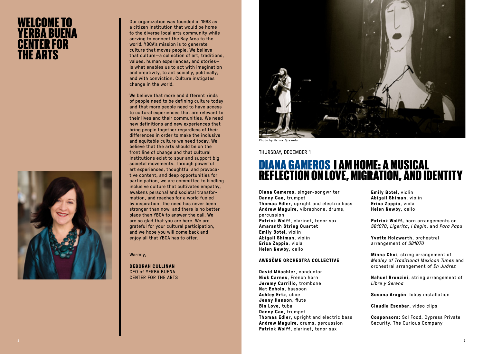## WELCOME TO YERBA BUENA CENTER FOR THE ARTS



Our organization was founded in 1993 as a citizen institution that would be home to the diverse local arts community while serving to connect the Bay Area to the world. YBCA's mission is to generate culture that moves people. We believe that culture—a collection of art, traditions, values, human experiences, and stories is what enables us to act with imagination and creativity, to act socially, politically, and with conviction. Culture instigates change in the world.

We believe that more and different kinds of people need to be defining culture today and that more people need to have access to cultural experiences that are relevant to their lives and their communities. We need new definitions and new experiences that bring people together regardless of their differences in order to make the inclusive and equitable culture we need today. We believe that the arts should be on the front line of change and that cultural institutions exist to spur and support big societal movements. Through powerful art experiences, thoughtful and provocative content, and deep opportunities for participation, we are committed to kindling inclusive culture that cultivates empathy, awakens personal and societal transformation, and reaches for a world fueled by inspiration. The need has never been stronger than now, and there is no better place than YBCA to answer the call. We are so glad that you are here. We are grateful for your cultural participation, and we hope you will come back and enjoy all that YBCA has to offer.

Warmly,

**DEBORAH CULLINAN** CEO of YERBA BUENA CENTER FOR THE ARTS



Photo by Hanna Quevedo

THURSDAY, DECEMBER 1

## DIANA GAMEROS I AM HOME: A MUSICAL REFLECTION ON LOVE, MIGRATION, AND IDENTITY

**Diana Gameros**, singer-songwriter **Danny Cao**, trumpet **Thomas Edler**, upright and electric bass **Andrew Maguire**, vibraphone, drums, percussion **Patrick Wolff**, clarinet, tenor sax **Amaranth String Quartet Emily Botel,** violin **Abigail Shiman**, violin **Erica Zappia**, viola **Helen Newby**, cello

#### **AWESÖME ORCHESTRA COLLECTIVE**

**David Möschler**, conductor **Nick Carnes**, French horn **Jeremy Carrillo**, trombone **Nat Echols**, bassoon **Ashley Ertz**, oboe **Jenny Hanson**, flute **Bin Love**, tuba **Danny Cao**, trumpet **Thomas Edler**, upright and electric bass **Andrew Maguire**, drums, percussion **Patrick Wolff**, clarinet, tenor sax

**Emily Botel**, violin **Abigail Shiman**, violin **Erica Zappia**, viola **Helen Newby**, cello

**Patrick Wolff,** horn arrangements on *SB1070*, *Ligerita*, *I Begin*, and *Para Papa*

**Yvette Holzwarth**, orchestral arrangement of *SB1070*

**Minna Choi**, string arrangement of *Medley of Traditional Mexican Tunes* and orchestral arrangement of *En Juárez*

**Nahuel Bronzini**, string arrangement of *Libre y Serena*

**Susana Aragón**, lobby installation

**Claudia Escobar**, video clips

**Cosponsors:** Sol Food, Cypress Private Security, The Curious Company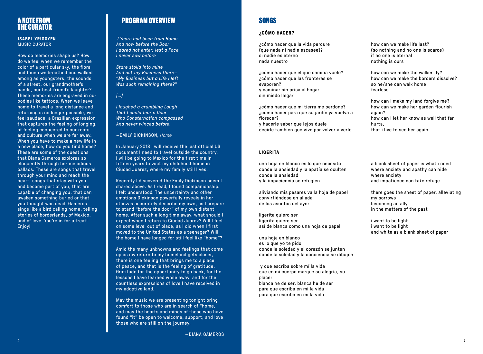## A NOTE FROM THE CURATOR

**ISABEL YRIGOYEN** MUSIC CURATOR

How do memories shape us? How do we feel when we remember the color of a particular sky, the flora and fauna we breathed and walked among as youngsters, the sounds of a street, our grandmother's hands, our best friend's laughter? These memories are engraved in our bodies like tattoos. When we leave home to travel a long distance and returning is no longer possible, we feel saudade, a Brazilian expression that captures the feeling of longing, of feeling connected to our roots and culture when we are far away. When you have to make a new life in a new place, how do you find home? These are some of the questions that Diana Gameros explores so eloquently through her melodious ballads. These are songs that travel through your mind and reach the heart, songs that stay with you and become part of you, that are capable of changing you, that can awaken something buried or that you thought was dead. Gameros sings like a bird calling home, telling stories of borderlands, of Mexico, and of love. You're in for a treat! Enjoy!

## PROGRAM OVERVIEW

 *I Years had been from Home And now before the Door I dared not enter, lest a Face I never saw before*

*Stare stolid into mine And ask my Business there— "My Business but a Life I left Was such remaining there?"*

### *[…]*

*I laughed a crumbling Laugh That I could fear a Door Who Consternation compassed And never winced before.*

—EMILY DICKINSON, *Home*

In January 2018 I will receive the last official US document I need to travel outside the country. I will be going to Mexico for the first time in fifteen years to visit my childhood home in Ciudad Juarez, where my family still lives.

Recently I discovered the Emily Dickinson poem I shared above. As I read, I found companionship. I felt understood. The uncertainty and other emotions Dickinson powerfully reveals in her stanzas accurately describe my own, as I prepare to stand "before the door" of my own distant home. After such a long time away, what should I expect when I return to Ciudad Juarez? Will I feel on some level out of place, as I did when I first moved to the United States as a teenager? Will the home I have longed for still feel like "home"?

Amid the many unknowns and feelings that come up as my return to my homeland gets closer, there is one feeling that brings me to a place of peace, and that is the feeling of gratitude. Gratitude for the opportunity to go back, for the lessons I have learned while away, and for the countless expressions of love I have received in my adoptive land.

May the music we are presenting tonight bring comfort to those who are in search of "home," and may the hearts and minds of those who have found "it" be open to welcome, support, and love those who are still on the journey.

## SONGS

## **¿CÓMO HACER?**

¿cómo hacer que la vida perdure (que nada ni nadie escasee)? si nadie es eterno nada nuestro

¿cómo hacer que el que camina vuele? ¿cómo hacer que las fronteras se evaporen? y caminar sin prisa al hogar sin miedo llegar

¿cómo hacer que mi tierra me perdone? ¿cómo hacer para que su jardín ya vuelva a florecer? y hacerle saber que lejos duele decirle también que vivo por volver a verle

## **LIGERITA**

una hoja en blanco es lo que necesito donde la ansiedad y la apatía se oculten donde la ansiedad y la impaciencia se refugien

aliviando mis pesares va la hoja de papel convirtiéndose en aliada de los asuntos del ayer

ligerita quiero ser ligerita quiero ser así de blanca como una hoja de papel

una hoja en blanco es lo que yo te pido donde la soledad y el corazón se junten donde la soledad y la conciencia se dibujen

 y que escriba sobre mí la vida que en mi cuerpo marque su alegría, su placer blanca he de ser, blanca he de ser para que escriba en mi la vida para que escriba en mi la vida

how can we make life last? (so nothing and no one is scarce) if no one is eternal nothing is ours

how can we make the walker fly? how can we make the borders dissolve? so he/she can walk home fearless

how can i make my land forgive me? how can we make her garden flourish again? how can I let her know as well that far hurts, that i live to see her again

a blank sheet of paper is what i need where anxiety and apathy can hide where anxiety and impatience can take refuge

there goes the sheet of paper, alleviating my sorrows becoming an ally in the matters of the past

i want to be light i want to be light and white as a blank sheet of paper

—DIANA GAMEROS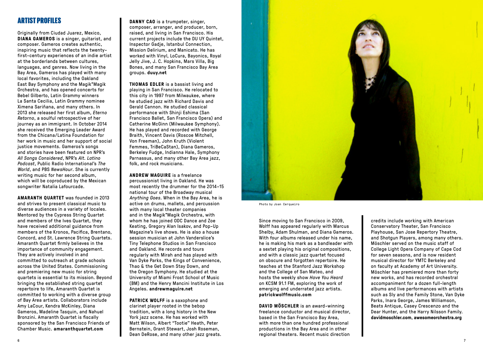## ARTIST PROFILES

Originally from Ciudad Juarez, Mexico, **DIANA GAMEROS** is a singer, guitarist, and composer. Gameros creates authentic, inspiring music that reflects the twentyfirst-century experiences of an indie artist at the borderlands between cultures, languages, and genres. Now living in the Bay Area, Gameros has played with many local favorites, including the Oakland East Bay Symphony and the Magik\*Magik Orchestra, and has opened concerts for Bebel Gilberto, Latin Grammy winners La Santa Cecilia, Latin Grammy nominee Ximena Sariñana, and many others. In 2013 she released her first album, *Eterno Retorno*, a soulful retrospective of her journey as an immigrant. In October 2014 she received the Emerging Leader Award from the Chicana/Latina Foundation for her work in music and her support of social justice movements. Gameros's songs and stories have been featured on NPR's *All Songs Considered*, NPR's *Alt. Latino Podcast*, Public Radio International's *The World*, and PBS *NewsHour*. She is currently writing music for her second album, which will be coproduced by the Mexican songwriter Natalia Lafourcade.

**AMARANTH QUARTET** was founded in 2013 and strives to present classical music to diverse audiences in a variety of locales. Mentored by the Cypress String Quartet and members of the Ives Quartet, they have received additional guidance from members of the Kronos, Pacifica, Brentano, Concord, and St. Lawrence String Quartets. Amaranth Quartet firmly believes in the importance of community engagement. They are actively involved in and committed to outreach at grade schools across the United States. Commissioning and premiering new music for string quartets is essential to its mission. Beyond bringing the established string quartet repertoire to life, Amaranth Quartet is committed to working with a diverse group of Bay Area artists. Collaborators include Amy LaCour, Kendra McKinley, Diana Gameros, Madeline Tasquin, and Nahuel Bronzini. Amaranth Quartet is fiscally sponsored by the San Francisco Friends of Chamber Music. **amaranthquartet.com**

**DANNY CAO** is a trumpeter, singer, composer, arranger, and producer, born, raised, and living in San Francisco. His current projects include the DU UY Quintet, Inspector Gadje, Istanbul Connection, Mission Delirium, and Manicato. He has worked with Vinyl, LoCura, Bayonics, Royal Jelly Jive, J. C. Hopkins, Mars Villa, Big Bones, and many San Francisco Bay Area groups. **duuy.net**

**THOMAS EDLER** is a bassist living and playing in San Francisco. He relocated to this city in 1997 from Milwaukee, where he studied jazz with Richard Davis and Gerald Cannon. He studied classical performance with Shinji Eshima (San Francisco Ballet, San Francisco Opera) and Catherine McGinn (Milwaukee Symphony). He has played and recorded with George Braith, Vincent Davis (Roscoe Mitchell, Von Freeman), John Kruth (Violent Femmes, TriBeCaStan), Diana Gameros, Berkeley Fudge, Indianna Hale, Symphony Parnassus, and many other Bay Area jazz, folk, and rock musicians.

**ANDREW MAGUIRE** is a freelance

percussionist living in Oakland. He was most recently the drummer for the 2014–15 national tour of the Broadway musical *Anything Goes*. When in the Bay Area, he is active on drums, mallets, and percussion with many local theater companies and in the Magik\*Magik Orchestra, with whom he has joined ODC Dance and Zoe Keating, Gregory Alan Isakov, and Pop-Up Magazine's live shows. He is also a house session musician at John Vanderslice's Tiny Telephone Studios in San Francisco and Oakland. He records and tours regularly with Mirah and has played with Van Dyke Parks, the Kings of Convenience, Thao & the Get Down Stay Down, and the Oregon Symphony. He studied at the University of Miami Frost School of Music (BM) and the Henry Mancini Institute in Los Angeles. **andrewmaguire.net**

**PATRICK WOLFF** is a saxophone and clarinet player rooted in the bebop tradition, with a long history in the New York jazz scene. He has worked with Matt Wilson, Albert "Tootie" Heath, Peter Bernstein, Grant Stewart, Josh Roseman, Dean DeRose, and many other jazz greats.



Photo by Joan Cerqueiro

Since moving to San Francisco in 2009, Wolff has appeared regularly with Marcus Shelby, Adam Shulman, and Diana Gameros. With four albums released under his name, he is making his mark as a bandleader with a sextet playing his original compositions, and with a classic jazz quartet focused on obscure and forgotten repertoire. He teaches at the Stanford Jazz Workshop and the College of San Mateo, and hosts the weekly show *Have You Heard* on KCSM 91.1 FM, exploring the work of emerging and underrated jazz artists. **patrickwolffmusic.com**

**DAVID MÖSCHLER** is an award-winning freelance conductor and musical director, based in the San Francisco Bay Area, with more than one hundred professional productions in the Bay Area and in other regional theaters. Recent music direction

credits include working with American Conservatory Theater, San Francisco Playhouse, San Jose Repertory Theatre, and Shotgun Players, among many others. Möschler served on the music staff of College Light Opera Company of Cape Cod for seven seasons, and is now resident musical director for YMTC Berkeley and on faculty at Academy of Art University. Möschler has premiered more than forty new works, and has recorded orchestral accompaniment for a dozen full-length albums and live performances with artists such as Sly and the Family Stone, Van Dyke Parks, Inara George, James Williamson, Beats Antique, Casey Crescenzo and the Dear Hunter, and the Harry Nilsson Family. **davidmoschler.com**, **awesomeorchestra.org**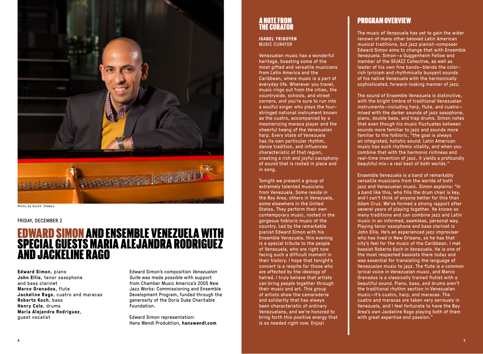

#### FRIDAY, DECEMBER 2

## EDWARD SIMON AND ENSEMBLE VENEZUELA WITH SPECIAL GUESTS MARIA ALEJANDRA RODRIGUEZ AND JACKELINE RAGO

**Edward Simon**, piano **John Ellis**, tenor saxophone and bass clarinet **Marco Granados**, flute **Jackeline Rago**, cuatro and maracas **Roberto Koch**, bass **Henry Cole**, drums **Maria Alejandra Rodriguez**, guest vocalist

Edward Simon's composition *Venezuelan Suite* was made possible with support from Chamber Music America's 2005 New Jazz Works: Commissioning and Ensemble Development Program, funded through the generosity of the Doris Duke Charitable Foundation.

Edward Simon representation: Hans Wendl Produktion, **hanswendl.com**

## A NOTE FROM THE CURATOR

**ISABEL YRIGOYEN** MUSIC CURATOR

Venezuelan music has a wonderful heritage, boasting some of the most gifted and versatile musicians from Latin America and the Caribbean, where music is a part of everyday life. Wherever you travel, music rings out from the cities, the countryside, schools, and street corners, and you're sure to run into a soulful singer who plays the fourstringed national instrument known as the cuatro, accompanied by a mesmerizing maraca player and the cheerful twang of the Venezuelan harp. Every state of Venezuela has its own particular rhythm, dance tradition, and influences characteristic of that region, creating a rich and joyful cacophony of sound that is rooted in place and in song.

Tonight we present a group of extremely talented musicians from Venezuela. Some reside in the Bay Area, others in Venezuela, some elsewhere in the United States. They perform their own contemporary music, rooted in the gorgeous folkloric music of the country. Led by the remarkable pianist Edward Simon with his Ensemble Venezuela, this evening is a special tribute to the people of Venezuela, who are right now facing such a difficult moment in their history. I hope that tonight's concert is a respite for those who are affected by the ideology of hatred. I truly believe that artists can bring people together through their music and art. This group of artists show the camaraderie and solidarity that has always been characteristic of ordinary Venezuelans, and we're honored to bring forth this positive energy that is so needed right now. Enjoy!

## PROGRAM OVERVIEW

The music of Venezuela has yet to gain the wider renown of many other beloved Latin American musical traditions, but jazz pianist-composer Edward Simon aims to change that with Ensemble Venezuela. Simon—a Guggenheim Fellow and member of the SFJAZZ Collective, as well as leader of his own fine bands—blends the colorrich lyricism and rhythmically buoyant sounds of his native Venezuela with the harmonically sophisticated, forward-looking manner of jazz.

The sound of Ensemble Venezuela is distinctive, with the bright timbre of traditional Venezuelan instruments—including harp, flute, and cuatro mixed with the darker sounds of jazz saxophone, piano, double bass, and trap drums. Simon notes that even though his music fluctuates between sounds more familiar to jazz and sounds more familiar to the folkloric, "the goal is always an integrated, holistic sound. Latin American music has such rhythmic vitality, and when you combine that with the harmonic richness and real-time invention of jazz, it yields a profoundly beautiful mix—a real best of both worlds."

Ensemble Venezuela is a band of remarkably versatile musicians from the worlds of both jazz and Venezuelan music. Simon explains: "In a band like this, who fills the drum chair is key, and I can't think of anyone better for this than Adam Cruz. We've formed a strong rapport after several years of playing together. He knows so many traditions and can combine jazz and Latin music in an informed, seamless, personal way. Playing tenor saxophone and bass clarinet is John Ellis. He's an experienced jazz improviser who has lived in New Orleans, so he has that city's feel for the music of the Caribbean. I met bassist Roberto Koch in Venezuela. He is one of the most respected bassists there today and was essential for translating the language of Venezuelan music to jazz. The flute is a common lyrical voice in Venezuelan music, and Marco Granados is a classically trained flutist with a beautiful sound. Piano, bass, and drums aren't the traditional rhythm section in Venezuelan music—it's cuatro, harp, and maracas. The cuatro and maracas are taken very seriously in Venezuela, and I feel fortunate to have the Bay Area's own Jackeline Rago playing both of them with great expertise and passion."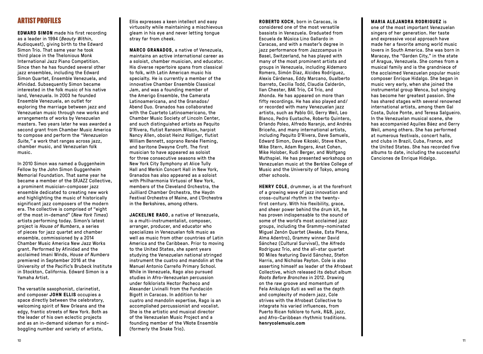## ARTIST PROFILES

**EDWARD SIMON** made his first recording as a leader in 1994 (*Beauty Within*, Audioquest), giving birth to the Edward Simon Trio. That same year he took third place in the Thelonious Monk International Jazz Piano Competition. Since then he has founded several other jazz ensembles, including the Edward Simon Quartet, Ensemble Venezuela, and Afinidad. Subsequently Simon became interested in the folk music of his native land, Venezuela. In 2003 he founded Ensemble Venezuela, an outlet for exploring the marriage between jazz and Venezuelan music through new works and arrangements of works by Venezuelan masters. Two years later he was awarded a second grant from Chamber Music America to compose and perform the *"Venezuelan Suite,"* a work that ranges across jazz, chamber music, and Venezuelan folk music.

In 2010 Simon was named a Guggenheim Fellow by the John Simon Guggenheim Memorial Foundation. That same year he became a member of the SFJAZZ Collective, a prominent musician-composer jazz ensemble dedicated to creating new work and highlighting the music of historically significant jazz composers of the modern era. The collective is comprised of "eight of the most in-demand" (*New York Times*) artists performing today. Simon's latest project is *House of Numbers*, a series of pieces for jazz quartet and chamber ensemble, commissioned by a 2014 Chamber Music America New Jazz Works grant. Performed by Afinidad and the acclaimed Imani Winds, *House of Numbers* premiered in September 2016 at the University of the Pacific's Brubeck Institute in Stockton, California. Edward Simon is a Yamaha Artist.

The versatile saxophonist, clarinetist, and composer **JOHN ELLIS** occupies a space directly between the celebratory, welcoming spirit of New Orleans and the edgy, frantic streets of New York. Both as the leader of his own eclectic projects and as an in-demand sideman for a mindboggling number and variety of artists,

Ellis expresses a keen intellect and easy virtuosity while maintaining a mischievous gleam in his eye and never letting tongue stray far from cheek.

**MARCO GRANADOS**, a native of Venezuela, maintains an active international career as a soloist, chamber musician, and educator. His diverse repertoire spans from classical to folk, with Latin American music his specialty. He is currently a member of the innovative Chamber Ensemble Classical Jam, and was a founding member of the Amerigo Ensemble, the Camerata Latinoamericana, and the Granados/ Abend Duo. Granados has collaborated with the Cuarteto Latinoamericano, the Chamber Music Society of Lincoln Center, and such distinguished artists as Paquito D'Rivera, flutist Ransom Wilson, harpist Nancy Allen, oboist Heinz Holliger, flutist William Bennett, soprano Renée Fleming, and baritone Dwayne Croft. The first musician to have appeared as soloist for three consecutive seasons with the New York City Symphony at Alice Tully Hall and Merkin Concert Hall in New York, Granados has also appeared as a soloist with Philharmonia Virtuosi of New York, members of the Cleveland Orchestra, the Juilliard Chamber Orchestra, the Haydn Festival Orchestra of Maine, and L'Orchestra in the Berkshires, among others.

**JACKELINE RAGO**, a native of Venezuela, is a multi-instrumentalist, composer, arranger, producer, and educator who specializes in Venezuelan folk music as well as music from other countries of Latin America and the Caribbean. Prior to moving to the United States, she spent years studying the Venezuelan national stringed instrument the cuatro and mandolin at the Manuel Antonio Carreño Primary School. While in Venezuela, Rago also pursued studies in Afro-Venezuelan percussion under folklorists Hector Pacheco and Alexander Livinalli from the Fundación Bigott in Caracas. In addition to her cuatro and mandolin expertise, Rago is an accomplished percussionist and vocalist. She is the artistic and musical director of the Venezuelan Music Project and a founding member of the VNote Ensemble (formerly the Snake Trio).

**ROBERTO KOCH**, born in Caracas, is considered one of the most versatile bassists in Venezuela. Graduated from Escuela de Música Lino Gallardo in Caracas, and with a master's degree in jazz performance from Jazzcampus in Basel, Switzerland, he has played with many of the most prominent artists and groups in Venezuela, including Aldemaro Romero, Simón Díaz, Alcides Rodríguez, Alexis Cárdenas, Eddy Marcano, Gualberto Ibarreto, Cecilia Todd, Claudia Calderón, Ilan Chester, BAK Trío, C4 Trío, and Ahonda. He has appeared on more than fifty recordings. He has also played and/ or recorded with many Venezuelan jazz artists, such as Pablo Gil, Gerry Weil, Leo Blanco, Pedro Eustache, Roberto Quintero, Orlando Poleo, Alfredo Naranjo, and Andrés Briceño, and many international artists, including Paquito D'Rivera, Dave Samuels, Edward Simon, Dave Kikoski, Steve Khan, Mike Stern, Adam Rogers, Anat Cohen, Mike Holober, Rudi Berger, and Wolfgang Muthspiel. He has presented workshops on Venezuelan music at the Berklee College of Music and the University of Tokyo, among other schools.

**HENRY COLE**, drummer, is at the forefront of a growing wave of jazz innovation and cross-cultural rhythm in the twentyfirst century. With his flexibility, grace, and sheer power behind the drum kit, he has proven indispensable to the sound of some of the world's most acclaimed jazz groups, including the Grammy-nominated Miguel Zenón Quartet (Awake, Esta Plena, Alma Adentro), Grammy winner David Sánchez (Cultural Survival), the Alfredo Rodriguez Trio, and the all-star quartet 90 Miles featuring David Sánchez, Stefon Harris, and Nicholas Payton. Cole is also asserting himself as leader of the Afrobeat Collective, which released its debut album *Roots Before Branches* in 2012. Drawing on the raw groove and momentum of Fela Anikulapo Kuti as well as the depth and complexity of modern jazz, Cole strives with the Afrobeat Collective to integrate his varied influences, from Puerto Rican folklore to funk, R&B, jazz, and Afro-Caribbean rhythmic traditions. **henrycolemusic.com**

#### **MARIA ALEJANDRA RODRIGUEZ** is

one of the most important Venezuelan singers of her generation. Her taste and expressive vocal approach have made her a favorite among world music lovers in South America. She was born in Maracay, the "Garden City," in the state of Aragua, Venezuela. She comes from a musical family and is the grandniece of the acclaimed Venezuelan popular music composer Enrique Hidalgo. She began in music very early, when she joined the instrumental group Wenca, but singing has become her greatest passion. She has shared stages with several renowned international artists, among them Gal Costa, Dulce Ponte, and Teresa Salgueiro. In the Venezuelan musical scene, she has accompanied Aquiles Báez and Gerry Weil, among others. She has performed at numerous festivals, concert halls, and clubs in Brazil, Cuba, France, and the United States. She has recorded five albums to date, including the successful Canciones de Enrique Hidalgo.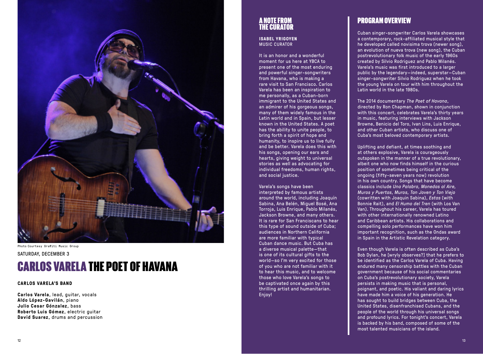

Photo Courtesy Graffiti Music Group

#### SATURDAY, DECEMBER 3

# CARLOS VARELA THE POET OF HAVANA

#### **CARLOS VARELA'S BAND**

**Carlos Varela**, lead, guitar, vocals **Aldo López-Gavilán**, piano **Julio Cesar Gónzalez**, bass **Roberto Luis Gómez**, electric guitar **David Suarez**, drums and percussion

## A NOTE FROM THE CURATOR

**ISABEL YRIGOYEN** MUSIC CURATOR

It is an honor and a wonderful moment for us here at YBCA to present one of the most enduring and powerful singer-songwriters from Havana, who is making a rare visit to San Francisco. Carlos Varela has been an inspiration to me personally, as a Cuban-born immigrant to the United States and an admirer of his gorgeous songs, many of them widely famous in the Latin world and in Spain, but lesser known in the United States. A poet has the ability to unite people, to bring forth a spirit of hope and humanity, to inspire us to live fully and be better. Varela does this with his songs, opening our ears and hearts, giving weight to universal stories as well as advocating for individual freedoms, human rights, and social justice.

#### Varela's songs have been

interpreted by famous artists around the world, including Joaquín Sabina, Ana Belén, Miguel Bosé, Ana Torroja, Luis Enrique, Pablo Milanés, Jackson Browne, and many others. It is rare for San Franciscans to hear this type of sound outside of Cuba; audiences in Northern California are more familiar with typical Cuban dance music. But Cuba has a diverse musical palette—that is one of its cultural gifts to the world—so I'm very excited for those of you who are not familiar with it to hear this music, and to welcome those who love Varela's songs to be captivated once again by this thrilling artist and humanitarian. Enjoy!

## PROGRAM OVERVIEW

Cuban singer-songwriter Carlos Varela showcases a contemporary, rock-affiliated musical style that he developed called novisima trova (newer song), an evolution of nueva trova (new song), the Cuban postrevolutionary folk music of the early 1960s created by Silvio Rodriguez and Pablo Milanés. Varela's music was first introduced to a larger public by the legendary—indeed, superstar—Cuban singer-songwriter Silvio Rodriguez when he took the young Varela on tour with him throughout the Latin world in the late 1980s.

The 2014 documentary *The Poet of Havana*, directed by Ron Chapman, shown in conjunction with this concert, celebrates Varela's thirty years in music, featuring interviews with Jackson Browne, Benicio del Toro, Ivan Lins, Luis Enrique, and other Cuban artists, who discuss one of Cuba's most beloved contemporary artists.

Uplifting and defiant, at times soothing and at others explosive, Varela is courageously outspoken in the manner of a true revolutionary, albeit one who now finds himself in the curious position of sometimes being critical of the ongoing (fifty-seven years now) revolution in his own country. Songs that have become classics include *Una Palabra, Monedas al Aire, Muros y Puertas, Muros, Tan Joven y Tan Viejo* (cowritten with Joaquin Sabina), *Estas* (with Bonnie Rait), and *El Humo del Tren* (with Los Van Van). Throughout his career, Varela has toured with other internationally renowned Latino and Caribbean artists. His collaborations and compelling solo performances have won him important recognition, such as the Ondas award in Spain in the Artistic Revelation category.

Even though Varela is often described as Cuba's Bob Dylan, he [wryly observes?] that he prefers to be identified as the Carlos Varela of Cuba. Having endured many censorship battles with the Cuban government because of his social commentaries on Cuba's postrevolutionary society, Varela persists in making music that is personal, poignant, and poetic. His valiant and daring lyrics have made him a voice of his generation. He has sought to build bridges between Cuba, the United States, disenfranchised Cubans, and the people of the world through his universal songs and profound lyrics. For tonight's concert, Varela is backed by his band, composed of some of the most talented musicians of the island.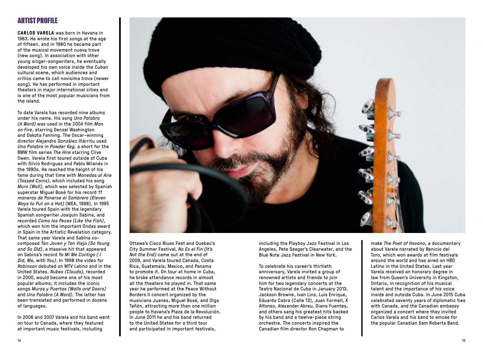## ARTIST PROFILE

**CARLOS VARELA** was born in Havana in 1963. He wrote his first songs at the age of fifteen, and in 1980 he became part of the musical movement nueva trova (new song). In association with other young singer-songwriters, he eventually developed his own voice inside the Cuban cultural scene, which audiences and critics came to call novisima trova (newer song). He has performed in important theaters in major international cities and is one of the most popular musicians from the island.

To date Varela has recorded nine albums under his name. His song *Una Palabra (A Word)* was used in the 2004 film *Man on Fire*, starring Denzel Washington and Dakota Fanning. The Oscar-winning director Alejandro González Iñárritu used *Una Palabra* in *Powder Keg,* a short for the BMW film series *The Hire* starring Clive Owen. Varela first toured outside of Cuba with Silvio Rodriguez and Pablo Milanés in the 1990s. He reached the height of his fame during that time with *Monedas al Aire (Tossed Coins)*, which included his song *Muro (Wall)*, which was selected by Spanish superstar Miguel Bosé for his record *11 maneras de Ponerse el Sombrero (Eleven Ways to Put on a Hat)* (WEA, 1998). In 1995 Varela toured Spain with the legendary Spanish songwriter Joaquín Sabina, and recorded *Como los Peces (Like the Fish)*, which won him the important Ondas award in Spain in the Artistic Revelation category. That same year Varela and Sabina cocomposed *Tan Joven y Tan Viejo (So Young and So Old)*, a massive hit that appeared on Sabina's record *Yo Mi Me Contigo ( I Did, Me, with You)*. In 1998 the video for *Robinson* debuted on MTV Latino and in the United States. *Nubes (Clouds),* recorded in 2000, would become one of his most popular albums; it includes the iconic songs *Muros y Puertas (Walls and Doors)* and *Una Palabra (A Word)*. The latter has been translated and performed in dozens of languages.

In 2006 and 2007 Varela and his band went on tour to Canada, where they featured at important music festivals, including



Ottawa's Cisco Blues Fest and Quebec's City Summer Festival. *No Es el Fin (It's Not the End)* came out at the end of 2009, and Varela toured Canada, Costa Rica, Guatemala, Mexico, and Panama to promote it. On tour at home in Cuba, he broke attendance records in almost all the theaters he played in. That same year he performed at the Peace Without Borders II concert organized by the musicians Juanes, Miguel Bosé, and Olga Tañón, attracting more than one million people to Havana's Plaza de la Revolución. In June 2011 he and his band returned to the United States for a third tour and participated in important festivals,

including the Playboy Jazz Festival in Los Angeles, Pete Seeger's Clearwater, and the Blue Note Jazz Festival in New York.

To celebrate his career's thirtieth anniversary, Varela invited a group of renowned artists and friends to join him for two legendary concerts at the Teatro Nacional de Cuba in January 2013. Jackson Browne, Ivan Lins, Luis Enrique, Eduardo Cabra (Calle 13), Juan Formell, X Alfonso, Alexander Abreu, Diana Fuentes, and others sang his greatest hits backed by his band and a twelve-piece string orchestra. The concerts inspired the Canadian film director Ron Chapman to

make *The Poet of Havana,* a documentary about Varela narrated by Benicio del Toro, which won awards at film festivals around the world and has aired on HBO Latino in the United States. Last year Varela received an honorary degree in law from Queen's University in Kingston, Ontario, in recognition of his musical talent and the importance of his voice inside and outside Cuba. In June 2015 Cuba celebrated seventy years of diplomatic ties with Canada, and the Canadian embassy organized a concert where they invited Carlos Varela and his band to emcee for the popular Canadian Sam Roberts Band.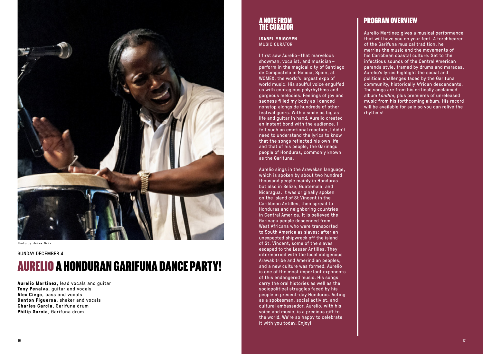

Photo by Jaime Oriz

### SUNDAY DECEMBER 4

# AURELIO A HONDURAN GARIFUNA DANCE PARTY!

**Aurelio Martinez**, lead vocals and guitar **Tony Penalva**, guitar and vocals **Alex Ciego**, bass and vocals **Denton Figueroa**, shaker and vocals **Charles Garcia**, Garifuna drum **Philip Garcia**, Garifuna drum

## A NOTE FROM THE CURATOR

**ISABEL YRIGOYEN** MUSIC CURATOR

I first saw Aurelio—that marvelous showman, vocalist, and musician perform in the magical city of Santiago de Compostela in Galicia, Spain, at WOMEX, the world's largest expo of world music. His soulful voice engulfed us with contagious polyrhythms and gorgeous melodies. Feelings of joy and sadness filled my body as I danced nonstop alongside hundreds of other festival goers. With a smile as big as life and guitar in hand, Aurelio created an instant bond with the audience. I felt such an emotional reaction, I didn't need to understand the lyrics to know that the songs reflected his own life and that of his people, the Garinagu people of Honduras, commonly known as the Garifuna.

Aurelio sings in the Arawakan language, which is spoken by about two hundred thousand people mainly in Honduras but also in Belize, Guatemala, and Nicaragua. It was originally spoken on the island of St Vincent in the Caribbean Antilles, then spread to Honduras and neighboring countries in Central America. It is believed the Garinagu people descended from West Africans who were transported to South America as slaves; after an unexpected shipwreck off the island of St. Vincent, some of the slaves escaped to the Lesser Antilles. They intermarried with the local indigenous Arawak tribe and Amerindian peoples, and a new culture was formed. Aurelio is one of the most important exponents of this endangered music. His songs carry the oral histories as well as the sociopolitical struggles faced by his people in present-day Honduras. Acting as a spokesman, social activist, and cultural ambassador, Aurelio, with his voice and music, is a precious gift to the world. We're so happy to celebrate it with you today. Enjoy!

## PROGRAM OVERVIEW

Aurelio Martinez gives a musical performance that will have you on your feet. A torchbearer of the Garifuna musical tradition, he marries the music and the movements of his Caribbean coastal culture. Set to the infectious sounds of the Central American paranda style, framed by drums and maracas, Aurelio's lyrics highlight the social and political challenges faced by the Garifuna community, historically African descendants. The songs are from his critically acclaimed album *Landini*, plus premieres of unreleased music from his forthcoming album. His record will be available for sale so you can relive the rhythms!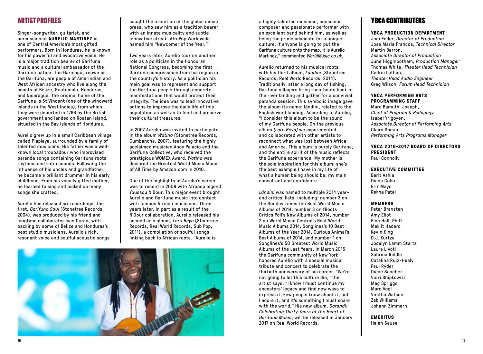## ARTIST PROFILES

Singer-songwriter, guitarist, and percussionist **AURELIO MARTINEZ** is one of Central America's most gifted performers. Born in Honduras, he is known for his powerful and evocative voice. He is a major tradition bearer of Garifuna music and a cultural ambassador of the Garifuna nation. The Garinagu, known as the Garifuna, are people of Amerindian and West African ancestry who live along the coasts of Belize, Guatemala, Honduras, and Nicaragua. The original home of the Garifuna is St Vincent (one of the windward islands in the West Indies), from which they were deported in 1796 by the British government and landed on Roatan island, situated in the Bay Islands of Honduras.

Aurelio grew up in a small Caribbean village called Plaplaya, surrounded by a family of talented musicians. His father was a wellknown local troubadour who improvised paranda songs containing Garifuna roots rhythms and Latin sounds. Following the influence of his uncles and grandfather, he became a brilliant drummer in his early childhood. From his vocally gifted mother, he learned to sing and picked up many songs she crafted.

Aurelio has released six recordings. The first, *Garifuna Soul* (Stonetree Records, 2004), was produced by his friend and longtime collaborator Ivan Duran, with backing by some of Belize and Honduras's best studio musicians. Aurelio's rich, resonant voice and soulful acoustic songs caught the attention of the global music press, who saw him as a tradition bearer with an innate musicality and subtle innovative streak. AfroPop Worldwide named him "Newcomer of the Year."

Two years later, Aurelio took on another role as a politician in the Honduran National Congress, becoming the first Garifuna congressman from his region in the country's history. As a politician his main goal was to represent and support the Garifuna people through concrete manifestations that would protect their integrity. The idea was to lead innovative actions to improve the daily life of this population as well as to feed and preserve their cultural treasures.

In 2007 Aurelio was invited to participate in the album *Watina* (Stonetree Records, Cumbancha, 2007), featuring the highly acclaimed musician Andy Palacio and the Garifuna Collective, who received the prestigious WOMEX Award. *Watina* was declared the Greatest World Music Album of All Time by Amazon.com in 2010.

One of the highlights of Aurelio's career was to record in 2008 with Afropop legend Youssou N'Dour. This major event brought Aurelio and Garifuna music into contact with famous African musicians. Three years later, in part as a result of the N'Dour collaboration, Aurelio released his second solo album, *Laru Beya* (Stonetree Records, Real World Records, Sub Pop, 2011), a compilation of soulful songs linking back to African roots. "Aurelio is



a highly talented musician, conscious composer and passionate performer with an excellent band behind him, as well as being the prime advocate for a unique culture. If anyone is going to put the Garifuna culture onto the map, it is Aurelio Martinez," commented *WorldMusic.co.uk*.

Aurelio returned to his musical roots with his third album, *Lándini* (Stonetree Records, Real World Records, 2014). Traditionally, after a long day of fishing, Garifuna villagers bring their boats back to the river landing and gather for a convivial paranda session. This symbolic image gave the album its name: lándini, related to the English word landing. According to Aurelio, "I consider this album to be the sound of my Garifuna people. On the previous album *[Laru Beya]* we experimented and collaborated with other artists to reconnect what was lost between Africa and America. This album is purely Garifuna, and the entire spirit of the music reflects the Garifuna experience. My mother is the sole inspiration for this album; she's the best example I have in my life of what a human being should be, my main consultant and confidante."

*Lándini* was named to multiple 2014 yearend critics' lists, including: number 3 on the Sunday Times Ten Best World Music Albums of 2014, number 3 on fRoots Critics Poll's New Albums of 2014, number 2 on World Music Central's Best World Music Albums 2014, Songlines's 10 Best Albums of the Year 2014, Curious Animal's Best Albums of 2014, and number 1 on Songlines's 50 Greatest World Music Albums of the Last Years. In March 2015 the Garifuna community of New York honored Aurelio with a special musical tribute and concert to celebrate the thirtieth anniversary of his career. "We're not going to let this culture die," the artist says. "I know I must continue my ancestors' legacy and find new ways to express it. Few people know about it, but I adore it, and it's something I must share with the world." His new album, *Darandi: Celebrating Thirty Years at the Heart of Garifuna Music*, will be released in January 2017 on Real World Records.

## YBCA CONTRIBUTERS

#### **YBCA PRODUCTION DEPARTMENT**

Jodi Feder, *Director of Production* Jose Maria Francos, *Technical Director* Martin Barron, *Associate Director of Production* June Higginbotham, *Production Manager* Thomas White, *Theater Head Technician* Cedric Lathan, *Theater Head Audio Engineer* Greg Wilson, *Forum Head Technician*

#### **YBCA PERFORMING ARTS PROGRAMMING STAFF**

Marc Bamuthi Joseph, *Chief of Program & Pedagogy* Isabel Yrigoyen, *Associate Director of Performing Arts* Claire Shoun, *Performing Arts Programs Manager*

#### **YBCA 2016-2017 BOARD OF DIRECTORS PRESIDENT** Paul Connolly

**EXECUTIVE COMMITTEE**

Berit Ashla Diana Cohn Erik Mayo Rekha Patel

#### **MEMBERS**

Peter Bransten Amy Eliot Elna Hall, Ph.D Meklit Hadero Kevin King D.J. Kurtze Jocelyn Lamm Startz Laura Livoti Sabrina Riddle Catalina Ruiz-Healy Paul Ryder Diane Sanchez Vicki Shipkowitz Meg Spriggs Marc Vogl Vinitha Watson Zak Williams Johann Zimmern

**EMERITUS** Helen Sause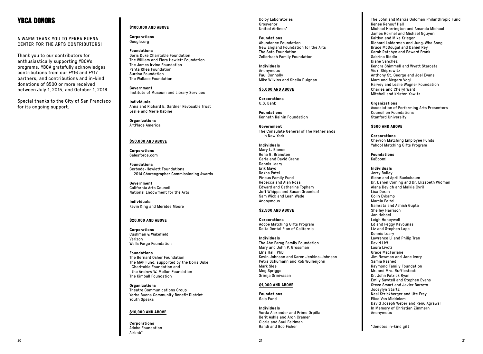## YBCA DONORS

A WARM THANK YOU TO YERBA BUENA CENTER FOR THE ARTS CONTRIBUTORS!

Thank you to our contributors for enthusiastically supporting YBCA's programs. YBCA gratefully acknowledges contributions from our FY16 and FY17 partners, and contributions and in-kind donations of \$500 or more received between July 1, 2015, and October 1, 2016.

Special thanks to the City of San Francisco for its ongoing support.

## **\$100,000 AND ABOVE**

**Corporations** Google.org

**Foundations** Doris Duke Charitable Foundation The William and Flora Hewlett Foundation The James Irvine Foundation Panta Rhea Foundation Surdna Foundation The Wallace Foundation

**Government** Institute of Museum and Library Services

**Individuals** Anna and Richard E. Gardner Revocable Trust Leslie and Merle Rabine

**Organizations** ArtPlace America

#### **\$50,000 AND ABOVE**

**Corporations** Salesforce.com

**Foundations** Gerbode-Hewlett Foundations 2014 Choreographer Commissioning Awards

**Government** California Arts Council National Endowment for the Arts

**Individuals** Kevin King and Meridee Moore

#### **\$20,000 AND ABOVE**

**Corporations** Cushman & Wakefield Verizon Wells Fargo Foundation

**Foundations** The Bernard Osher Foundation The MAP Fund, supported by the Doris Duke Charitable Foundation and the Andrew W. Mellon Foundation The Kimball Foundation

**Organizations** Theatre Communications Group Yerba Buena Community Benefit District Youth Speaks

### **\$10,000 AND ABOVE**

**Corporations** Adobe Foundation Airbnb\*

Dolby Laboratories Grosvenor United Airlines\*

**Foundations** Abundance Foundation New England Foundation for the Arts The Sato Foundation Zellerbach Family Foundation

**Individuals** Anonymous Paul Connolly Mike Wilkins and Sheila Duignan

## **\$5,000 AND ABOVE**

**Corporations** U.S. Bank

**Foundations** Kenneth Rainin Foundation

**Government** The Consulate General of The Netherlands in New York

#### **Individuals**

Mary L. Bianco Rena G. Bransten Carla and David Crane Dennis Leary Erik Mayo Rekha Patel Pincus Family Fund Rebecca and Alan Ross Edward and Catherine Topham Jeff Whipps and Susan Greenleaf Sam Wick and Leah Wade Anonymous

#### **\$2,500 AND ABOVE**

**Corporations** Adobe Matching Gifts Program Delta Dental Plan of California

#### **Individuals**

The Abe Farag Family Foundation Mary and John P. Grossman Elna Hall, PhD Kevin Johnson and Karen Jenkins-Johnson Petra Schumann and Rob Wullenjohn Mark Slee Meg Spriggs Srinija Srinivasan

### **\$1,000 AND ABOVE**

**Foundations** Gaia Fund

**Individuals** Verda Alexander and Primo Orpilla Berit Ashla and Aron Cramer Gloria and Saul Feldman Randi and Bob Fisher

The John and Marcia Goldman Philanthropic Fund Renee Renouf Hall Michael Harrington and Amanda Michael James Hormel and Michael Nguyen Kaitlyn and Mike Krieger Richard Laiderman and Jung-Wha Song Bruce McDougal and Daniel Rey Sarah Ratchye and Edward Frank Sabrina Riddle Diane Sanchez Kendra Shimmell and Wyatt Starosta Vicki Shipkowitz Anthony St. George and Joel Evans Marc and Megara Vogl Harvey and Leslie Wagner Foundation Charles and Cheryl Ward Mitchell and Kristen Yawitz

**Organizations** Association of Performing Arts Presenters Council on Foundations Stanford University

### **\$500 AND ABOVE**

**Corporations** Chevron Matching Employee Funds Yahoo! Matching Gifts Program

**Foundations** KaBoom!

**Individuals** Jerry Bailey Glenn and April Bucksbaum Dr. Daniel Coming and Dr. Elizabeth Widman Alana Devich and Malkia Cyril Lisa Doran Colin Eykamp Marcia Feitel Namrata and Ashish Gupta Shelley Harrison Jan Hobbel Leigh Honeywell Ed and Peggy Kavounas Liz and Stephen Lapp Dennis Leary Lawrence Li and Philip Tran David Liff Laura Livoti Grace MacFarlane Jim Newman and Jane Ivory Samia Rashed Raymond Family Foundation Mr. and Mrs. Rufflesteak Dr. John Patrick Ryan Emily Sawtell and Stephen Evans Steve Smart and Javier Barreto Joceylyn Startz Neal Strickberger and Ute Frey Elise Van Middelem David Joseph Weber and Renu Agrawal In Memory of Christian Zimmern Anonymous

\*denotes in-kind gift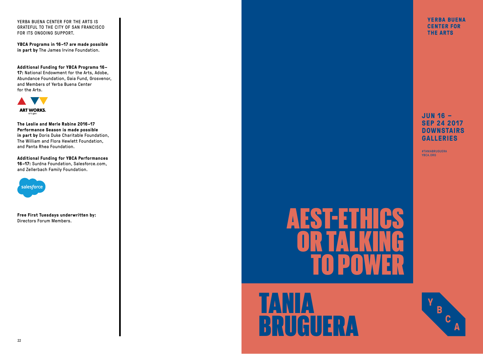YERBA BUENA CENTER FOR THE ARTS IS GRATEFUL TO THE CITY OF SAN FRANCISCO FOR ITS ONGOING SUPPORT.

**YBCA Programs in 16–17 are made possible in part by** The James Irvine Foundation.

**Additional Funding for YBCA Programs 16– 17:** National Endowment for the Arts, Adobe, Abundance Foundation, Gaia Fund, Grosvenor, and Members of Yerba Buena Center for the Arts.



**The Leslie and Merle Rabine 2016–17 Performance Season is made possible in part by** Doris Duke Charitable Foundation, The William and Flora Hewlett Foundation, and Panta Rhea Foundation.

**Additional Funding for YBCA Performances 16–17:** Surdna Foundation, Salesforce.com, and Zellerbach Family Foundation.



**Free First Tuesdays underwritten by:** Directors Forum Members.

# AESTEET OR TALKING TO POWER

# TANIA BRUGUERA

**YERBA BUENA CENTER FOR THE ARTS** 

## **JUN 16 – SEP 24 2017 DOWNSTAIRS GALLERIES**

#TANIABRUGUERA YBCA.ORG